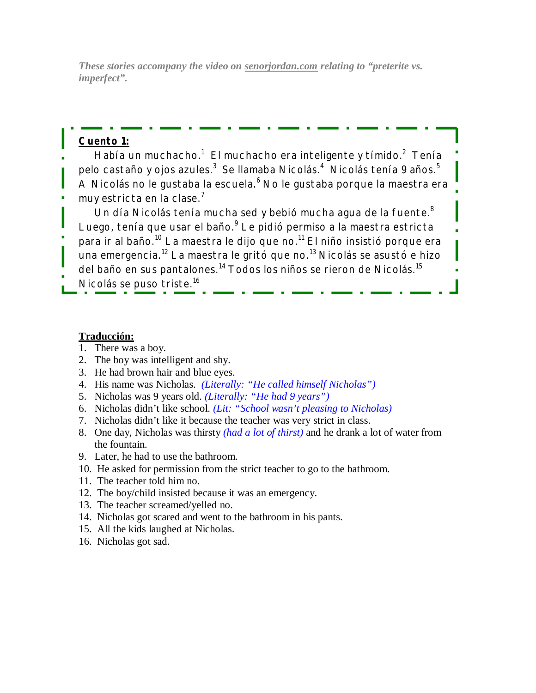*These stories accompany the video on senorjordan.com relating to "preterite vs. imperfect".*

## **Cuento 1:**

Había un muchacho. $^1\,$  El muchacho era inteligente y tímido. $^2\,$  Tenía pelo castaño y ojos azules. $^3\,$  Se llamaba Nicolás. $^4\,$  Nicolás tenía 9 años. $^5\,$ A Nicolás no le gustaba la escuela. $^6$  No le gustaba porque la maestra era muy estricta en la clase.<sup>7</sup>

Un día Nicolás tenía mucha sed y bebió mucha agua de la fuente.<sup>8</sup> Luego, tenía que usar el baño.<sup>9</sup> Le pidió permiso a la maestra estricta para ir al baño.<sup>10</sup> La maestra le dijo que no.<sup>11</sup> El niño insistió porque era una emergencia.<sup>12</sup> La maestra le gritó que no.<sup>13</sup> Nicolás se asustó e hizo del baño en sus pantalones.<sup>14</sup> Todos los niños se rieron de Nicolás.<sup>15</sup> Nicolás se puso triste.<sup>16</sup>

## **Traducción:**

- 1. There was a boy.
- 2. The boy was intelligent and shy.
- 3. He had brown hair and blue eyes.
- 4. His name was Nicholas. *(Literally: "He called himself Nicholas")*
- 5. Nicholas was 9 years old. *(Literally: "He had 9 years")*
- 6. Nicholas didn't like school. *(Lit: "School wasn't pleasing to Nicholas)*
- 7. Nicholas didn't like it because the teacher was very strict in class.
- 8. One day, Nicholas was thirsty *(had a lot of thirst)* and he drank a lot of water from the fountain.
- 9. Later, he had to use the bathroom.
- 10. He asked for permission from the strict teacher to go to the bathroom.
- 11. The teacher told him no.
- 12. The boy/child insisted because it was an emergency.
- 13. The teacher screamed/yelled no.
- 14. Nicholas got scared and went to the bathroom in his pants.
- 15. All the kids laughed at Nicholas.
- 16. Nicholas got sad.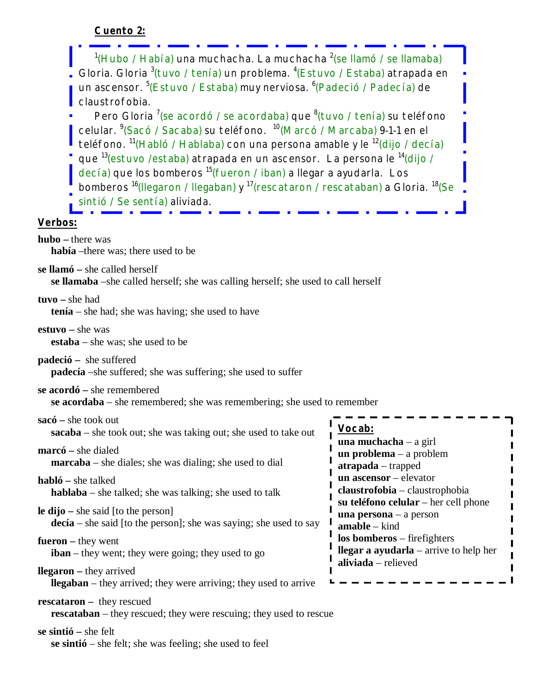| $1$ (Hubo / Había) una muchacha. La muchacha $2$ (se llamó / se llamaba)<br>Gloria. Gloria <sup>3</sup> (tuvo / tenía) un problema. <sup>4</sup> (Estuvo / Estaba) atrapada en<br>un ascensor. <sup>5</sup> (Estuvo / Estaba) muy nerviosa. <sup>6</sup> (Padeció / Padecía) de<br>claustrofobia.<br>Pero Gloria <sup>7</sup> (se acordó / se acordaba) que <sup>8</sup> (tuvo / tenía) su teléfono<br>celular. <sup>9</sup> (Sacó / Sacaba) su teléfono. <sup>10</sup> (Marcó / Marcaba) 9-1-1 en el<br>teléfono. <sup>11</sup> (Habló / Hablaba) con una persona amable y le <sup>12</sup> (dijo / decía)<br>que <sup>13</sup> (estuvo / estaba) atrapada en un ascensor. La persona le <sup>14</sup> (dijo /<br>decía) que los bomberos <sup>15</sup> (fueron / iban) a llegar a ayudarla. Los<br>bomberos <sup>16</sup> (Ilegaron / Ilegaban) y <sup>17</sup> (rescataron / rescataban) a Gloria. <sup>18</sup> (Se<br>sintió / Se sentía) aliviada.<br>Verbos: |                                                                                                  |
|---------------------------------------------------------------------------------------------------------------------------------------------------------------------------------------------------------------------------------------------------------------------------------------------------------------------------------------------------------------------------------------------------------------------------------------------------------------------------------------------------------------------------------------------------------------------------------------------------------------------------------------------------------------------------------------------------------------------------------------------------------------------------------------------------------------------------------------------------------------------------------------------------------------------------------------------------------------------|--------------------------------------------------------------------------------------------------|
|                                                                                                                                                                                                                                                                                                                                                                                                                                                                                                                                                                                                                                                                                                                                                                                                                                                                                                                                                                     |                                                                                                  |
| $hubo$ – there was<br>había --there was; there used to be                                                                                                                                                                                                                                                                                                                                                                                                                                                                                                                                                                                                                                                                                                                                                                                                                                                                                                           |                                                                                                  |
| se llamó – she called herself<br>se llamaba -she called herself; she was calling herself; she used to call herself                                                                                                                                                                                                                                                                                                                                                                                                                                                                                                                                                                                                                                                                                                                                                                                                                                                  |                                                                                                  |
| $tuvo - she had$<br>$t$ enía – she had; she was having; she used to have                                                                                                                                                                                                                                                                                                                                                                                                                                                                                                                                                                                                                                                                                                                                                                                                                                                                                            |                                                                                                  |
| $estuvo - she was$<br><b>estaba</b> – she was; she used to be                                                                                                                                                                                                                                                                                                                                                                                                                                                                                                                                                                                                                                                                                                                                                                                                                                                                                                       |                                                                                                  |
| <b>padeció</b> – she suffered<br>padecía -she suffered; she was suffering; she used to suffer                                                                                                                                                                                                                                                                                                                                                                                                                                                                                                                                                                                                                                                                                                                                                                                                                                                                       |                                                                                                  |
| se acordó – she remembered<br>se acordaba – she remembered; she was remembering; she used to remember                                                                                                                                                                                                                                                                                                                                                                                                                                                                                                                                                                                                                                                                                                                                                                                                                                                               |                                                                                                  |
| $sacó$ – she took out<br>sacaba - she took out; she was taking out; she used to take out                                                                                                                                                                                                                                                                                                                                                                                                                                                                                                                                                                                                                                                                                                                                                                                                                                                                            | Vocab:                                                                                           |
| $marc\acute{o}$ – she dialed<br><b>marcaba</b> – she diales; she was dialing; she used to dial                                                                                                                                                                                                                                                                                                                                                                                                                                                                                                                                                                                                                                                                                                                                                                                                                                                                      | una muchacha $-$ a girl<br>$un$ problema $-$ a problem<br>atrapada - trapped                     |
| $habló$ – she talked<br>$hablaba – she talked; she was talking; she used to talk$                                                                                                                                                                                                                                                                                                                                                                                                                                                                                                                                                                                                                                                                                                                                                                                                                                                                                   | un ascensor - elevator<br>claustrofobia - claustrophobia<br>su teléfono celular - her cell phone |
| <b>le dijo</b> – she said [to the person]<br>$decia$ – she said [to the person]; she was saying; she used to say                                                                                                                                                                                                                                                                                                                                                                                                                                                                                                                                                                                                                                                                                                                                                                                                                                                    | una persona $-$ a person<br>$amable - kind$                                                      |
| $fueron - they went$<br>$iban – they went; they were going; they used to go$                                                                                                                                                                                                                                                                                                                                                                                                                                                                                                                                                                                                                                                                                                                                                                                                                                                                                        | los bomberos - firefighters<br><b>llegar a ayudarla</b> – arrive to help her                     |
| <b>llegaron</b> – they arrived<br><b>Ilegaban</b> – they arrived; they were arriving; they used to arrive                                                                                                                                                                                                                                                                                                                                                                                                                                                                                                                                                                                                                                                                                                                                                                                                                                                           | aliviada - relieved                                                                              |
| <b>rescataron</b> – they rescued<br><b>rescataban</b> – they rescued; they were rescuing; they used to rescue                                                                                                                                                                                                                                                                                                                                                                                                                                                                                                                                                                                                                                                                                                                                                                                                                                                       |                                                                                                  |
| $se\ \sin\ t\ i\ 0$ – she felt                                                                                                                                                                                                                                                                                                                                                                                                                                                                                                                                                                                                                                                                                                                                                                                                                                                                                                                                      |                                                                                                  |

 **se sintió** – she felt; she was feeling; she used to feel